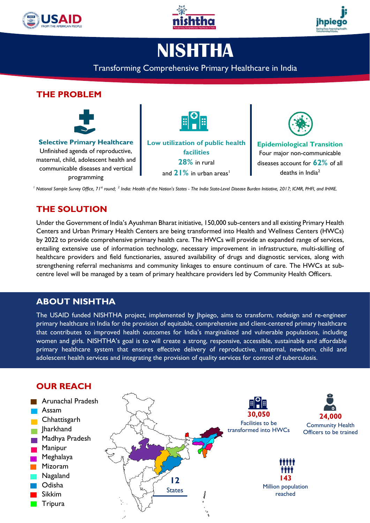





# **NISHTHA**

#### Transforming Comprehensive Primary Healthcare in India

#### **THE PROBLEM Selective Primary Healthcare** Unfinished agenda of reproductive, maternal, child, adolescent health and communicable diseases and vertical programming **Low utilization of public health facilities 28%** in rural and  $21\%$  in urban areas<sup>1</sup> **Epidemiological Transition** Four major non-communicable diseases account for **62%** of all deaths in India<sup>2</sup> *<sup>1</sup> National Sample Survey Office, 71st round; <sup>2</sup> India: Health of the Nation's States - The India State-Level Disease Burden Initiative, 2017; ICMR, PHFI, and IHME.*

### **THE SOLUTION**

Under the Government of India's Ayushman Bharat initiative, 150,000 sub-centers and all existing Primary Health Centers and Urban Primary Health Centers are being transformed into Health and Wellness Centers (HWCs) by 2022 to provide comprehensive primary health care. The HWCs will provide an expanded range of services, entailing extensive use of information technology, necessary improvement in infrastructure, multi-skilling of healthcare providers and field functionaries, assured availability of drugs and diagnostic services, along with strengthening referral mechanisms and community linkages to ensure continuum of care. The HWCs at subcentre level will be managed by a team of primary healthcare providers led by Community Health Officers.

### **ABOUT NISHTHA**

The USAID funded NISHTHA project, implemented by Jhpiego, aims to transform, redesign and re-engineer primary healthcare in India for the provision of equitable, comprehensive and client-centered primary healthcare that contributes to improved health outcomes for India's marginalized and vulnerable populations, including women and girls. NISHTHA's goal is to will create a strong, responsive, accessible, sustainable and affordable primary healthcare system that ensures effective delivery of reproductive, maternal, newborn, child and adolescent health services and integrating the provision of quality services for control of tuberculosis.